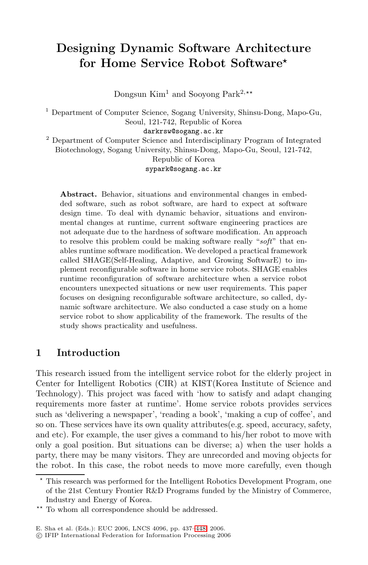# **Designing Dynamic Software Architecture for Home Service Robot Software***-*

Dongsun  $\text{Kim}^1$  and Sooyong Park<sup>2,\*\*</sup>

<sup>1</sup> Department of Computer Science, Sogang University, Shinsu-Dong, Mapo-Gu, Seoul, 121-742, Republic of Korea darkrsw@sogang.ac.kr <sup>2</sup> Department of Computer Science and Interdisciplinary Program of Integrated

Biotechnology, Sogang University, Shinsu-Dong, Mapo-Gu, Seoul, 121-742, Republic of Korea

sypark@sogang.ac.kr

**Abstract.** Behavior, situations and environmental changes in embedded software, such as robot software, are hard to expect at software design time. To deal with dynamic behavior, situations and environmental changes at runtime, current software engineering practices are not adequate due to the hardness of software modification. An approach to resolve this problem could be making software really "soft" that enables runtime software modification. We developed a practical framework called SHAGE(Self-Healing, Adaptive, and Growing SoftwarE) to implement reconfigurable software in home service robots. SHAGE enables runtime reconfiguration of software architecture when a service robot encounters unexpected situations or new user requirements. This paper focuses on designing reconfigurable software architecture, so called, dynamic software architecture. We also conducted a case study on a home service robot to show applicability of the framework. The results of the study shows practicality and usefulness.

## <span id="page-0-0"></span>**1 Introduction**

This research issued from the intelligent service robot for the elderly project in Center for Intelligent Robotics (CIR) at KIST(Korea Institute of Science and Technology). This project was faced with 'how to satisfy and adapt changing requirements more faster at runtime'. Home service robots provides services such as 'delivering a newspaper', 'reading a book', 'making a cup of coffee', and so on. These services have its own quality attributes(e.g. speed, accuracy, safety, and etc). For example, the user gives a command to his/her robot to move with only a goal position. But situations can be diverse; a) when the user holds a party, there may be many visitors. They are unrecorded and moving objects for the robot. In this case, the robot needs to move more carefully, even though

<sup>\*</sup> This research was performed for the Intelligent Robotics Development Program, one of the 21st Century Frontier R&D Programs funded by the Ministry of Commerce, Industry and Energy of Korea.

<sup>\*\*</sup> To whom all correspondence should be addressed.

<sup>-</sup>c IFIP International Federation for Information Processing 2006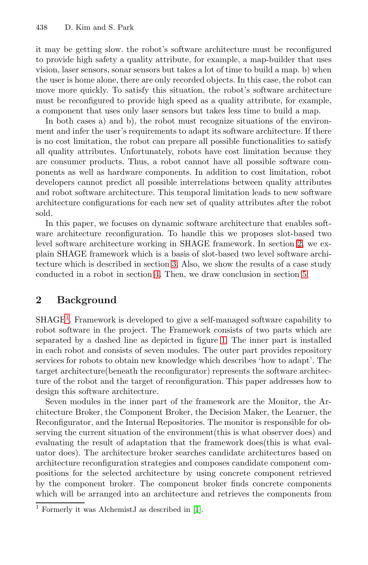it may be getting slow. the robot's software architecture must be reconfigured to provide high safety a quality attribute, for example, a map-builder that uses vision, laser sensors, sonar sensors but takes a lot of time to build a map. b) when the user is home alone, there are only recorded objects. In this case, the robot can move more quickly. To satisfy this situation, the robot's software architecture must be reconfigured to provide high speed as a quality attribute, for example, a component that uses only laser sensors but takes less time to build a map.

In both cases a) and b), the robot must recognize situations of the environment and infer the user's requirements to adapt its software architecture. If there is no cost limitation, the robot can prepare all possible functionalities to satisfy all quality attributes. Unfortunately, robots have cost limitation because they are consumer products. Thus, a robot cannot have all possible software components as well as hardware components. In addition to cost limitation, robot developers cannot predict all possible interrelations between quality attributes and robot software architecture. This temporal limitation leads to new software architecture configurations for each new set of quality attributes after the robot sold.

In this paper, we focuses on dynamic software architecture that enables software architecture reconfiguration. To handle this we proposes slot-based two level software architecture working in SHAGE framework. In section [2,](#page-1-0) we explain SHAGE framework which is a basis of slot-based two level software architecture which is described in section [3.](#page-3-0) Also, we show the results of a case study conducted in a robot in section [4.](#page-9-0) Then, we draw conclusion in section [5.](#page-10-0)

# <span id="page-1-0"></span>**2 Background**

SHAGE[1](#page-1-1). Framework is developed to give a self-managed software capability to robot software in the project. The Framework consists of two parts which are separated by a dashed line as depicted in figure [1.](#page-2-0) The inner part is installed in each robot and consists of seven modules. The outer part provides repository services for robots to obtain new knowledge which describes 'how to adapt'. The target architecture(beneath the reconfigurator) represents the software architecture of the robot and the target of reconfiguration. This paper addresses how to design this software architecture.

Seven modules in the inner part of the framework are the Monitor, the Architecture Broker, the Component Broker, the Decision Maker, the Learner, the Reconfigurator, and the Internal Repositories. The monitor is responsible for observing the current situation of the environment(this is what observer does) and evaluating the result of adaptation that the framework does(this is what evaluator does). The architecture broker searches candidate architectures based on architecture reconfiguration strategies and composes candidate component compositions for the selected architecture by using concrete component retrieved by the component broker. The component broker finds concrete components which will be arranged into an architecture and retrieves the components from

<span id="page-1-1"></span> $<sup>1</sup>$  Formerly it was AlchemistJ as described in [\[1\]](#page-11-1).</sup>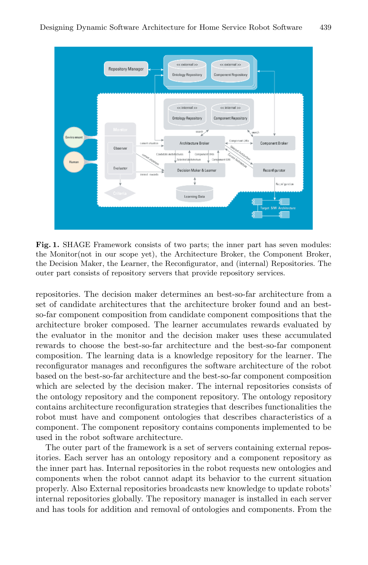

<span id="page-2-0"></span>**Fig. 1.** SHAGE Framework consists of two parts; the inner part has seven modules: the Monitor(not in our scope yet), the Architecture Broker, the Component Broker, the Decision Maker, the Learner, the Reconfigurator, and (internal) Repositories. The outer part consists of repository servers that provide repository services.

repositories. The decision maker determines an best-so-far architecture from a set of candidate architectures that the architecture broker found and an bestso-far component composition from candidate component compositions that the architecture broker composed. The learner accumulates rewards evaluated by the evaluator in the monitor and the decision maker uses these accumulated rewards to choose the best-so-far architecture and the best-so-far component composition. The learning data is a knowledge repository for the learner. The reconfigurator manages and reconfigures the software architecture of the robot based on the best-so-far architecture and the best-so-far component composition which are selected by the decision maker. The internal repositories consists of the ontology repository and the component repository. The ontology repository contains architecture reconfiguration strategies that describes functionalities the robot must have and component ontologies that describes characteristics of a component. The component repository contains components implemented to be used in the robot software architecture.

The outer part of the framework is a set of servers containing external repositories. Each server has an ontology repository and a component repository as the inner part has. Internal repositories in the robot requests new ontologies and components when the robot cannot adapt its behavior to the current situation properly. Also External repositories broadcasts new knowledge to update robots' internal repositories globally. The repository manager is installed in each server and has tools for addition and removal of ontologies and components. From the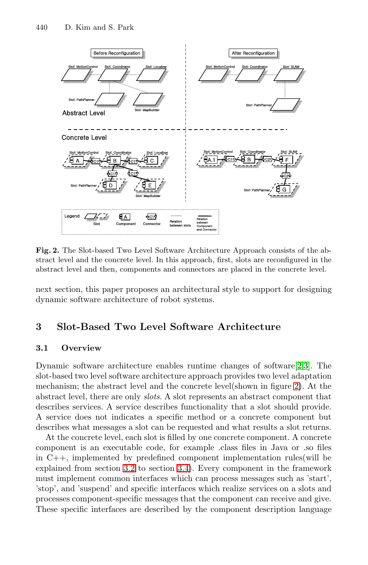

<span id="page-3-1"></span>**Fig. 2.** The Slot-based Two Level Software Architecture Approach consists of the abstract level and the concrete level. In this approach, first, slots are reconfigured in the abstract level and then, components and connectors are placed in the concrete level.

next section, this paper proposes an architectural style to support for designing dynamic software architecture of robot systems.

# <span id="page-3-0"></span>**3 Slot-Based Two Level Software Architecture**

#### **3.1 Overview**

Dynamic software architecture enables runtime changes of software[\[2](#page-11-2)[,3\]](#page-11-3). The slot-based two level software architecture approach provides two level adaptation mechanism; the abstract level and the concrete level(shown in figure [2\)](#page-3-1). At the abstract level, there are only slots. A slot represents an abstract component that describes services. A service describes functionality that a slot should provide. A service does not indicates a specific method or a concrete component but describes what messages a slot can be requested and what results a slot returns.

At the concrete level, each slot is filled by one concrete component. A concrete component is an executable code, for example .class files in Java or .so files in  $C_{++}$ , implemented by predefined component implementation rules (will be explained from section [3.2](#page-4-0) to section [3.4\)](#page-7-0). Every component in the framework must implement common interfaces which can process messages such as 'start', 'stop', and 'suspend' and specific interfaces which realize services on a slots and processes component-specific messages that the component can receive and give. These specific interfaces are described by the component description language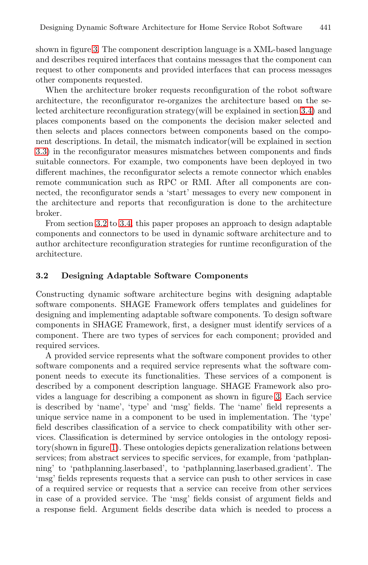shown in figure [3.](#page-5-0) The component description language is a XML-based language and describes required interfaces that contains messages that the component can request to other components and provided interfaces that can process messages other components requested.

When the architecture broker requests reconfiguration of the robot software architecture, the reconfigurator re-organizes the architecture based on the selected architecture reconfiguration strategy(will be explained in section [3.4\)](#page-7-0) and places components based on the components the decision maker selected and then selects and places connectors between components based on the component descriptions. In detail, the mismatch indicator(will be explained in section [3.3\)](#page-6-0) in the reconfigurator measures mismatches between components and finds suitable connectors. For example, two components have been deployed in two different machines, the reconfigurator selects a remote connector which enables remote communication such as RPC or RMI. After all components are connected, the reconfigurator sends a 'start' messages to every new component in the architecture and reports that reconfiguration is done to the architecture broker.

From section [3.2](#page-4-0) to [3.4,](#page-7-0) this paper proposes an approach to design adaptable components and connectors to be used in dynamic software architecture and to author architecture reconfiguration strategies for runtime reconfiguration of the architecture.

#### <span id="page-4-0"></span>**3.2 Designing Adaptable Software Components**

Constructing dynamic software architecture begins with designing adaptable software components. SHAGE Framework offers templates and guidelines for designing and implementing adaptable software components. To design software components in SHAGE Framework, first, a designer must identify services of a component. There are two types of services for each component; provided and required services.

A provided service represents what the software component provides to other software components and a required service represents what the software component needs to execute its functionalities. These services of a component is described by a component description language. SHAGE Framework also provides a language for describing a component as shown in figure [3.](#page-5-0) Each service is described by 'name', 'type' and 'msg' fields. The 'name' field represents a unique service name in a component to be used in implementation. The 'type' field describes classification of a service to check compatibility with other services. Classification is determined by service ontologies in the ontology repository(shown in figure [1\)](#page-2-0). These ontologies depicts generalization relations between services; from abstract services to specific services, for example, from 'pathplanning' to 'pathplanning.laserbased', to 'pathplanning.laserbased.gradient'. The 'msg' fields represents requests that a service can push to other services in case of a required service or requests that a service can receive from other services in case of a provided service. The 'msg' fields consist of argument fields and a response field. Argument fields describe data which is needed to process a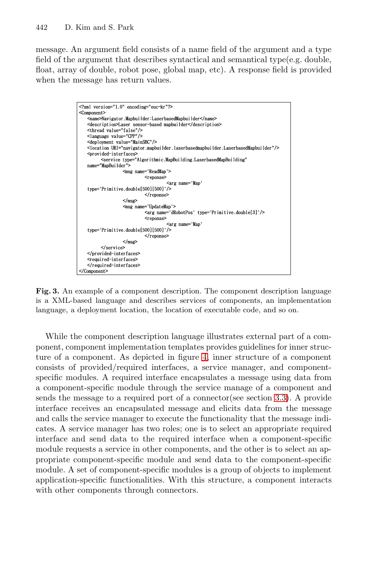message. An argument field consists of a name field of the argument and a type field of the argument that describes syntactical and semantical type(e.g. double, float, array of double, robot pose, global map, etc). A response field is provided when the message has return values.



<span id="page-5-0"></span>**Fig. 3.** An example of a component description. The component description language is a XML-based language and describes services of components, an implementation language, a deployment location, the location of executable code, and so on.

While the component description language illustrates external part of a component, component implementation templates provides guidelines for inner structure of a component. As depicted in figure [4,](#page-6-1) inner structure of a component consists of provided/required interfaces, a service manager, and componentspecific modules. A required interface encapsulates a message using data from a component-specific module through the service manage of a component and sends the message to a required port of a connector(see section [3.3\)](#page-6-0). A provide interface receives an encapsulated message and elicits data from the message and calls the service manager to execute the functionality that the message indicates. A service manager has two roles; one is to select an appropriate required interface and send data to the required interface when a component-specific module requests a service in other components, and the other is to select an appropriate component-specific module and send data to the component-specific module. A set of component-specific modules is a group of objects to implement application-specific functionalities. With this structure, a component interacts with other components through connectors.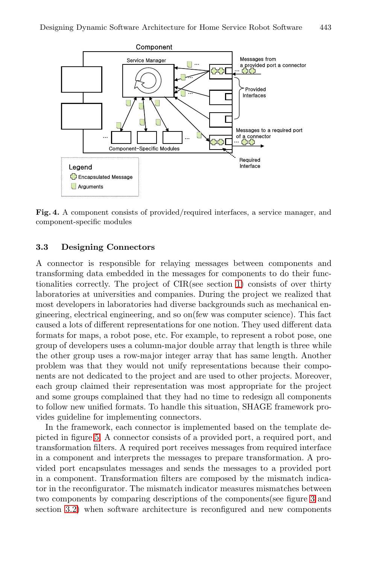

<span id="page-6-1"></span>**Fig. 4.** A component consists of provided/required interfaces, a service manager, and component-specific modules

#### <span id="page-6-0"></span>**3.3 Designing Connectors**

A connector is responsible for relaying messages between components and transforming data embedded in the messages for components to do their functionalities correctly. The project of CIR(see section [1\)](#page-0-0) consists of over thirty laboratories at universities and companies. During the project we realized that most developers in laboratories had diverse backgrounds such as mechanical engineering, electrical engineering, and so on(few was computer science). This fact caused a lots of different representations for one notion. They used different data formats for maps, a robot pose, etc. For example, to represent a robot pose, one group of developers uses a column-major double array that length is three while the other group uses a row-major integer array that has same length. Another problem was that they would not unify representations because their components are not dedicated to the project and are used to other projects. Moreover, each group claimed their representation was most appropriate for the project and some groups complained that they had no time to redesign all components to follow new unified formats. To handle this situation, SHAGE framework provides guideline for implementing connectors.

In the framework, each connector is implemented based on the template depicted in figure [5.](#page-7-1) A connector consists of a provided port, a required port, and transformation filters. A required port receives messages from required interface in a component and interprets the messages to prepare transformation. A provided port encapsulates messages and sends the messages to a provided port in a component. Transformation filters are composed by the mismatch indicator in the reconfigurator. The mismatch indicator measures mismatches between two components by comparing descriptions of the components(see figure [3](#page-5-0) and section [3.2\)](#page-4-0) when software architecture is reconfigured and new components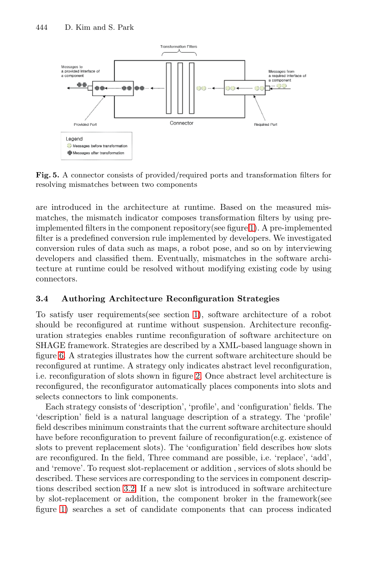

<span id="page-7-1"></span>**Fig. 5.** A connector consists of provided/required ports and transformation filters for resolving mismatches between two components

are introduced in the architecture at runtime. Based on the measured mismatches, the mismatch indicator composes transformation filters by using preimplemented filters in the component repository(see figure [1\)](#page-2-0). A pre-implemented filter is a predefined conversion rule implemented by developers. We investigated conversion rules of data such as maps, a robot pose, and so on by interviewing developers and classified them. Eventually, mismatches in the software architecture at runtime could be resolved without modifying existing code by using connectors.

### <span id="page-7-0"></span>**3.4 Authoring Architecture Reconfiguration Strategies**

To satisfy user requirements(see section [1\)](#page-0-0), software architecture of a robot should be reconfigured at runtime without suspension. Architecture reconfiguration strategies enables runtime reconfiguration of software architecture on SHAGE framework. Strategies are described by a XML-based language shown in figure [6.](#page-8-0) A strategies illustrates how the current software architecture should be reconfigured at runtime. A strategy only indicates abstract level reconfiguration, i.e. reconfiguration of slots shown in figure [2.](#page-3-1) Once abstract level architecture is reconfigured, the reconfigurator automatically places components into slots and selects connectors to link components.

Each strategy consists of 'description', 'profile', and 'configuration' fields. The 'description' field is a natural language description of a strategy. The 'profile' field describes minimum constraints that the current software architecture should have before reconfiguration to prevent failure of reconfiguration(e.g. existence of slots to prevent replacement slots). The 'configuration' field describes how slots are reconfigured. In the field, Three command are possible, i.e. 'replace', 'add', and 'remove'. To request slot-replacement or addition , services of slots should be described. These services are corresponding to the services in component descriptions described section [3.2.](#page-4-0) If a new slot is introduced in software architecture by slot-replacement or addition, the component broker in the framework(see figure [1\)](#page-2-0) searches a set of candidate components that can process indicated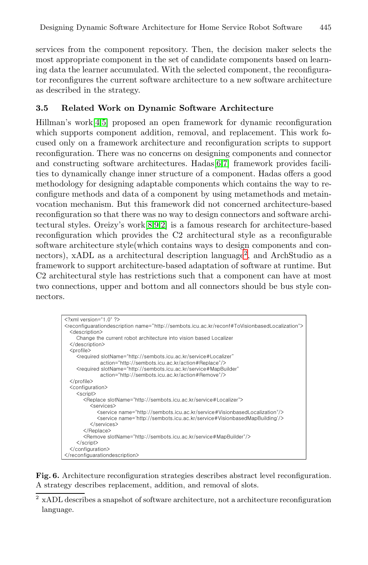services from the component repository. Then, the decision maker selects the most appropriate component in the set of candidate components based on learning data the learner accumulated. With the selected component, the reconfigurator reconfigures the current software architecture to a new software architecture as described in the strategy.

## **3.5 Related Work on Dynamic Software Architecture**

Hillman's work[\[4](#page-11-4)[,5\]](#page-11-5) proposed an open framework for dynamic reconfiguration which supports component addition, removal, and replacement. This work focused only on a framework architecture and reconfiguration scripts to support reconfiguration. There was no concerns on designing components and connector and constructing software architectures. Hadas[\[6,](#page-11-6)[7\]](#page-11-7) framework provides facilities to dynamically change inner structure of a component. Hadas offers a good methodology for designing adaptable components which contains the way to reconfigure methods and data of a component by using metamethods and metainvocation mechanism. But this framework did not concerned architecture-based reconfiguration so that there was no way to design connectors and software architectural styles. Oreizy's work[\[8](#page-11-8)[,9](#page-11-9)[,2\]](#page-11-2) is a famous research for architecture-based reconfiguration which provides the C2 architectural style as a reconfigurable software architecture style(which contains ways to design components and con-nectors), xADL as a architectural description language<sup>[2](#page-8-1)</sup>, and ArchStudio as a framework to support architecture-based adaptation of software at runtime. But C2 architectural style has restrictions such that a component can have at most two connections, upper and bottom and all connectors should be bus style connectors.



<span id="page-8-0"></span>**Fig. 6.** Architecture reconfiguration strategies describes abstract level reconfiguration. A strategy describes replacement, addition, and removal of slots.

<span id="page-8-1"></span> $\frac{2}{3}$  xADL describes a snapshot of software architecture, not a architecture reconfiguration language.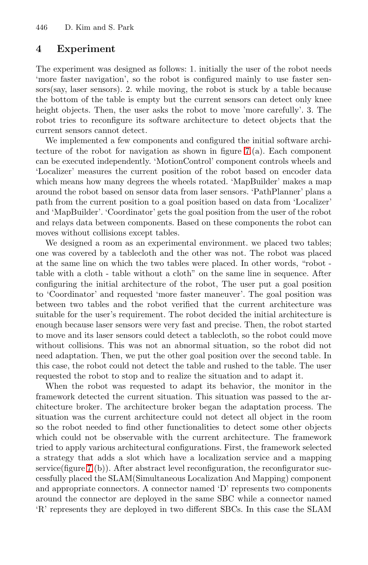# <span id="page-9-0"></span>**4 Experiment**

The experiment was designed as follows: 1. initially the user of the robot needs 'more faster navigation', so the robot is configured mainly to use faster sensors(say, laser sensors). 2. while moving, the robot is stuck by a table because the bottom of the table is empty but the current sensors can detect only knee height objects. Then, the user asks the robot to move 'more carefully'. 3. The robot tries to reconfigure its software architecture to detect objects that the current sensors cannot detect.

We implemented a few components and configured the initial software architecture of the robot for navigation as shown in figure [7.](#page-10-1)(a). Each component can be executed independently. 'MotionControl' component controls wheels and 'Localizer' measures the current position of the robot based on encoder data which means how many degrees the wheels rotated. 'MapBuilder' makes a map around the robot based on sensor data from laser sensors. 'PathPlanner' plans a path from the current position to a goal position based on data from 'Localizer' and 'MapBuilder'. 'Coordinator' gets the goal position from the user of the robot and relays data between components. Based on these components the robot can moves without collisions except tables.

We designed a room as an experimental environment. we placed two tables; one was covered by a tablecloth and the other was not. The robot was placed at the same line on which the two tables were placed. In other words, "robot table with a cloth - table without a cloth" on the same line in sequence. After configuring the initial architecture of the robot, The user put a goal position to 'Coordinator' and requested 'more faster maneuver'. The goal position was between two tables and the robot verified that the current architecture was suitable for the user's requirement. The robot decided the initial architecture is enough because laser sensors were very fast and precise. Then, the robot started to move and its laser sensors could detect a tablecloth, so the robot could move without collisions. This was not an abnormal situation, so the robot did not need adaptation. Then, we put the other goal position over the second table. In this case, the robot could not detect the table and rushed to the table. The user requested the robot to stop and to realize the situation and to adapt it.

When the robot was requested to adapt its behavior, the monitor in the framework detected the current situation. This situation was passed to the architecture broker. The architecture broker began the adaptation process. The situation was the current architecture could not detect all object in the room so the robot needed to find other functionalities to detect some other objects which could not be observable with the current architecture. The framework tried to apply various architectural configurations. First, the framework selected a strategy that adds a slot which have a localization service and a mapping service(figure [7.](#page-10-1)(b)). After abstract level reconfiguration, the reconfigurator successfully placed the SLAM(Simultaneous Localization And Mapping) component and appropriate connectors. A connector named 'D' represents two components around the connector are deployed in the same SBC while a connector named 'R' represents they are deployed in two different SBCs. In this case the SLAM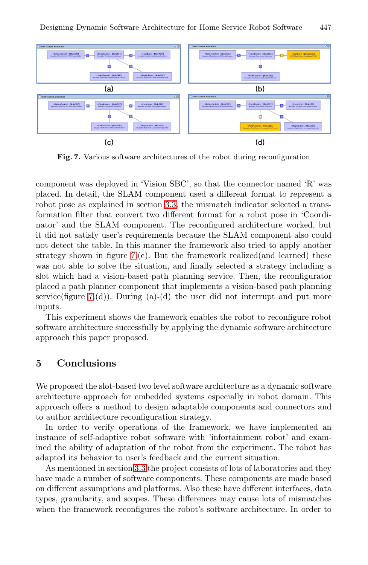

**Fig. 7.** Various software architectures of the robot during reconfiguration

<span id="page-10-1"></span>component was deployed in 'Vision SBC', so that the connector named 'R' was placed. In detail, the SLAM component used a different format to represent a robot pose as explained in section [3.3,](#page-6-0) the mismatch indicator selected a transformation filter that convert two different format for a robot pose in 'Coordinator' and the SLAM component. The reconfigured architecture worked, but it did not satisfy user's requirements because the SLAM component also could not detect the table. In this manner the framework also tried to apply another strategy shown in figure [7.](#page-10-1) $(c)$ . But the framework realized(and learned) these was not able to solve the situation, and finally selected a strategy including a slot which had a vision-based path planning service. Then, the reconfigurator placed a path planner component that implements a vision-based path planning service(figure [7.](#page-10-1)(d)). During (a)-(d) the user did not interrupt and put more inputs.

This experiment shows the framework enables the robot to reconfigure robot software architecture successfully by applying the dynamic software architecture approach this paper proposed.

### <span id="page-10-0"></span>**5 Conclusions**

We proposed the slot-based two level software architecture as a dynamic software architecture approach for embedded systems especially in robot domain. This approach offers a method to design adaptable components and connectors and to author architecture reconfiguration strategy.

In order to verify operations of the framework, we have implemented an instance of self-adaptive robot software with 'infortainment robot' and examined the ability of adaptation of the robot from the experiment. The robot has adapted its behavior to user's feedback and the current situation.

As mentioned in section [3.3](#page-6-0) the project consists of lots of laboratories and they have made a number of software components. These components are made based on different assumptions and platforms. Also these have different interfaces, data types, granularity, and scopes. These differences may cause lots of mismatches when the framework reconfigures the robot's software architecture. In order to